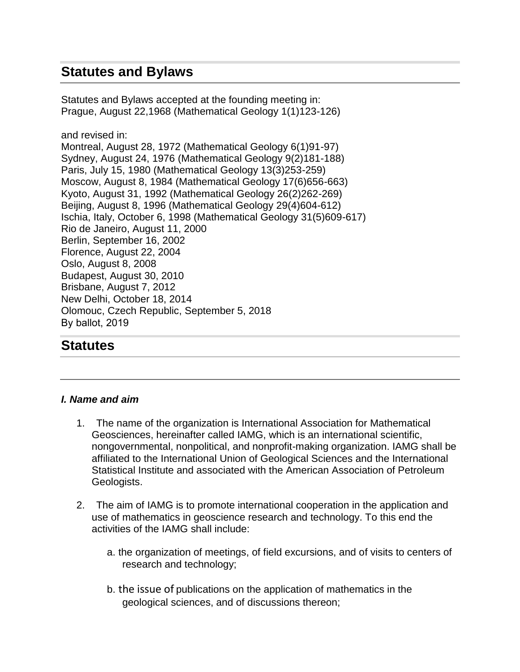# **Statutes and Bylaws**

Statutes and Bylaws accepted at the founding meeting in: Prague, August 22,1968 (Mathematical Geology 1(1)123-126)

and revised in:

Montreal, August 28, 1972 (Mathematical Geology 6(1)91-97) Sydney, August 24, 1976 (Mathematical Geology 9(2)181-188) Paris, July 15, 1980 (Mathematical Geology 13(3)253-259) Moscow, August 8, 1984 (Mathematical Geology 17(6)656-663) Kyoto, August 31, 1992 (Mathematical Geology 26(2)262-269) Beijing, August 8, 1996 (Mathematical Geology 29(4)604-612) Ischia, Italy, October 6, 1998 (Mathematical Geology 31(5)609-617) Rio de Janeiro, August 11, 2000 Berlin, September 16, 2002 Florence, August 22, 2004 Oslo, August 8, 2008 Budapest, August 30, 2010 Brisbane, August 7, 2012 New Delhi, October 18, 2014 Olomouc, Czech Republic, September 5, 2018 By ballot, 2019

## **Statutes**

#### *I. Name and aim*

- 1. The name of the organization is International Association for Mathematical Geosciences, hereinafter called IAMG, which is an international scientific, nongovernmental, nonpolitical, and nonprofit-making organization. IAMG shall be affiliated to the International Union of Geological Sciences and the International Statistical Institute and associated with the American Association of Petroleum Geologists.
- 2. The aim of IAMG is to promote international cooperation in the application and use of mathematics in geoscience research and technology. To this end the activities of the IAMG shall include:
	- a. the organization of meetings, of field excursions, and of visits to centers of research and technology;
	- b. the issue of publications on the application of mathematics in the geological sciences, and of discussions thereon;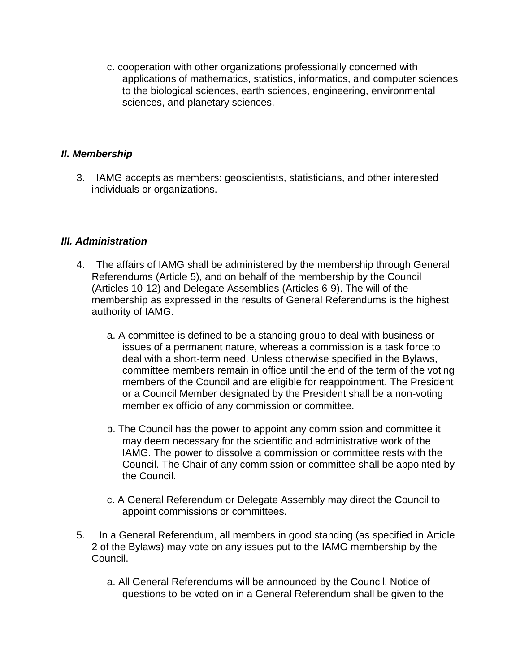c. cooperation with other organizations professionally concerned with applications of mathematics, statistics, informatics, and computer sciences to the biological sciences, earth sciences, engineering, environmental sciences, and planetary sciences.

#### *II. Membership*

3. IAMG accepts as members: geoscientists, statisticians, and other interested individuals or organizations.

#### *III. Administration*

- 4. The affairs of IAMG shall be administered by the membership through General Referendums (Article 5), and on behalf of the membership by the Council (Articles 10-12) and Delegate Assemblies (Articles 6-9). The will of the membership as expressed in the results of General Referendums is the highest authority of IAMG.
	- a. A committee is defined to be a standing group to deal with business or issues of a permanent nature, whereas a commission is a task force to deal with a short-term need. Unless otherwise specified in the Bylaws, committee members remain in office until the end of the term of the voting members of the Council and are eligible for reappointment. The President or a Council Member designated by the President shall be a non-voting member ex officio of any commission or committee.
	- b. The Council has the power to appoint any commission and committee it may deem necessary for the scientific and administrative work of the IAMG. The power to dissolve a commission or committee rests with the Council. The Chair of any commission or committee shall be appointed by the Council.
	- c. A General Referendum or Delegate Assembly may direct the Council to appoint commissions or committees.
- 5. In a General Referendum, all members in good standing (as specified in Article 2 of the Bylaws) may vote on any issues put to the IAMG membership by the Council.
	- a. All General Referendums will be announced by the Council. Notice of questions to be voted on in a General Referendum shall be given to the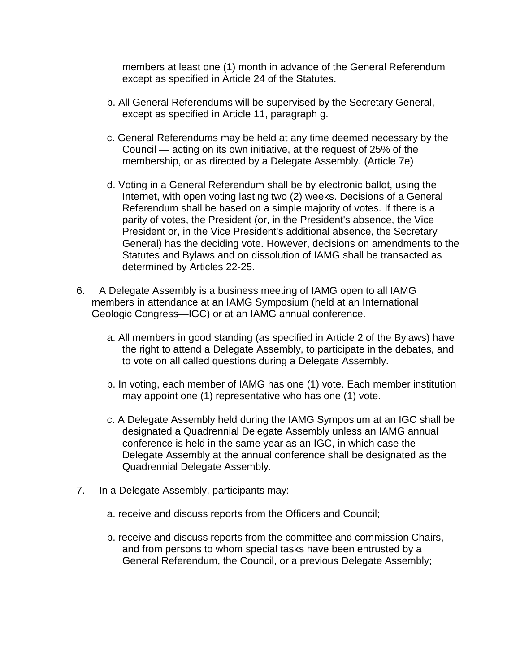members at least one (1) month in advance of the General Referendum except as specified in Article 24 of the Statutes.

- b. All General Referendums will be supervised by the Secretary General, except as specified in Article 11, paragraph g.
- c. General Referendums may be held at any time deemed necessary by the Council — acting on its own initiative, at the request of 25% of the membership, or as directed by a Delegate Assembly. (Article 7e)
- d. Voting in a General Referendum shall be by electronic ballot, using the Internet, with open voting lasting two (2) weeks. Decisions of a General Referendum shall be based on a simple majority of votes. If there is a parity of votes, the President (or, in the President's absence, the Vice President or, in the Vice President's additional absence, the Secretary General) has the deciding vote. However, decisions on amendments to the Statutes and Bylaws and on dissolution of IAMG shall be transacted as determined by Articles 22-25.
- 6. A Delegate Assembly is a business meeting of IAMG open to all IAMG members in attendance at an IAMG Symposium (held at an International Geologic Congress—IGC) or at an IAMG annual conference.
	- a. All members in good standing (as specified in Article 2 of the Bylaws) have the right to attend a Delegate Assembly, to participate in the debates, and to vote on all called questions during a Delegate Assembly.
	- b. In voting, each member of IAMG has one (1) vote. Each member institution may appoint one (1) representative who has one (1) vote.
	- c. A Delegate Assembly held during the IAMG Symposium at an IGC shall be designated a Quadrennial Delegate Assembly unless an IAMG annual conference is held in the same year as an IGC, in which case the Delegate Assembly at the annual conference shall be designated as the Quadrennial Delegate Assembly.
- 7. In a Delegate Assembly, participants may:
	- a. receive and discuss reports from the Officers and Council;
	- b. receive and discuss reports from the committee and commission Chairs, and from persons to whom special tasks have been entrusted by a General Referendum, the Council, or a previous Delegate Assembly;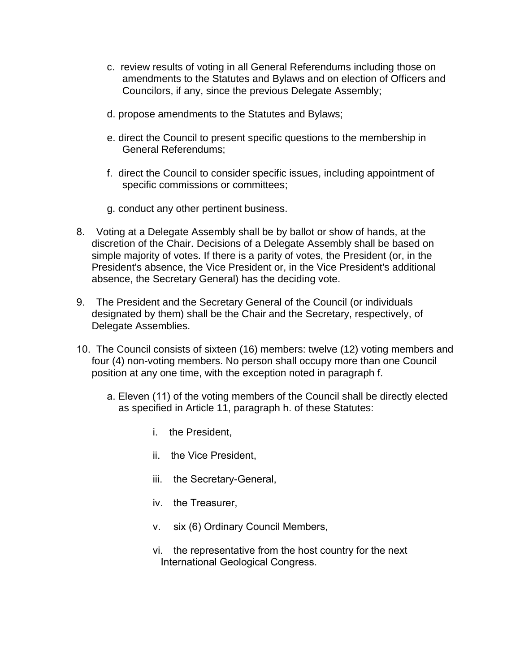- c. review results of voting in all General Referendums including those on amendments to the Statutes and Bylaws and on election of Officers and Councilors, if any, since the previous Delegate Assembly;
- d. propose amendments to the Statutes and Bylaws;
- e. direct the Council to present specific questions to the membership in General Referendums;
- f. direct the Council to consider specific issues, including appointment of specific commissions or committees;
- g. conduct any other pertinent business.
- 8. Voting at a Delegate Assembly shall be by ballot or show of hands, at the discretion of the Chair. Decisions of a Delegate Assembly shall be based on simple majority of votes. If there is a parity of votes, the President (or, in the President's absence, the Vice President or, in the Vice President's additional absence, the Secretary General) has the deciding vote.
- 9. The President and the Secretary General of the Council (or individuals designated by them) shall be the Chair and the Secretary, respectively, of Delegate Assemblies.
- 10. The Council consists of sixteen (16) members: twelve (12) voting members and four (4) non-voting members. No person shall occupy more than one Council position at any one time, with the exception noted in paragraph f.
	- a. Eleven (11) of the voting members of the Council shall be directly elected as specified in Article 11, paragraph h. of these Statutes:
		- i. the President,
		- ii. the Vice President,
		- iii. the Secretary-General,
		- iv. the Treasurer,
		- v. six (6) Ordinary Council Members,
		- vi. the representative from the host country for the next International Geological Congress.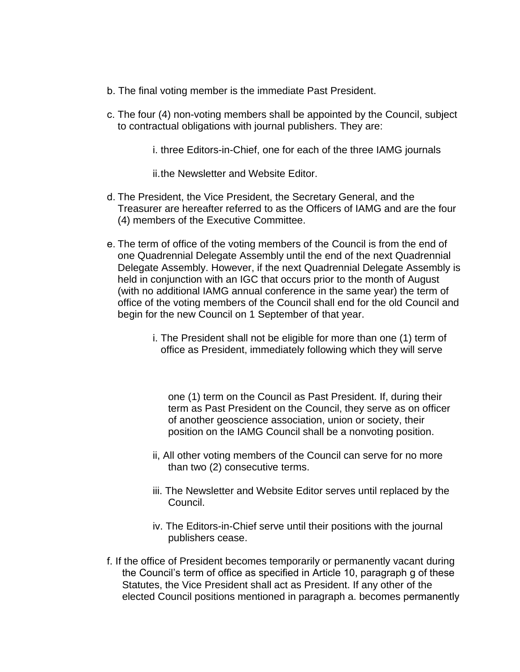- b. The final voting member is the immediate Past President.
- c. The four (4) non-voting members shall be appointed by the Council, subject to contractual obligations with journal publishers. They are:
	- i. three Editors-in-Chief, one for each of the three IAMG journals
	- ii.the Newsletter and Website Editor.
- d. The President, the Vice President, the Secretary General, and the Treasurer are hereafter referred to as the Officers of IAMG and are the four (4) members of the Executive Committee.
- e. The term of office of the voting members of the Council is from the end of one Quadrennial Delegate Assembly until the end of the next Quadrennial Delegate Assembly. However, if the next Quadrennial Delegate Assembly is held in conjunction with an IGC that occurs prior to the month of August (with no additional IAMG annual conference in the same year) the term of office of the voting members of the Council shall end for the old Council and begin for the new Council on 1 September of that year.
	- i. The President shall not be eligible for more than one (1) term of office as President, immediately following which they will serve

one (1) term on the Council as Past President. If, during their term as Past President on the Council, they serve as on officer of another geoscience association, union or society, their position on the IAMG Council shall be a nonvoting position.

- ii, All other voting members of the Council can serve for no more than two (2) consecutive terms.
- iii. The Newsletter and Website Editor serves until replaced by the Council.
- iv. The Editors-in-Chief serve until their positions with the journal publishers cease.
- f. If the office of President becomes temporarily or permanently vacant during the Council's term of office as specified in Article 10, paragraph g of these Statutes, the Vice President shall act as President. If any other of the elected Council positions mentioned in paragraph a. becomes permanently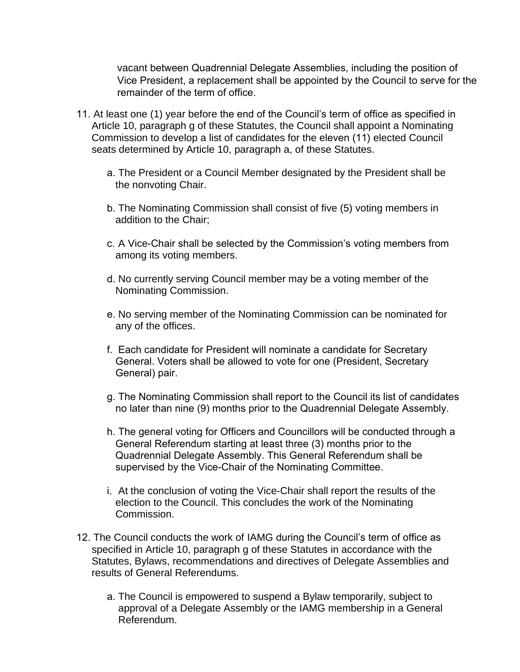vacant between Quadrennial Delegate Assemblies, including the position of Vice President, a replacement shall be appointed by the Council to serve for the remainder of the term of office.

- 11. At least one (1) year before the end of the Council's term of office as specified in Article 10, paragraph g of these Statutes, the Council shall appoint a Nominating Commission to develop a list of candidates for the eleven (11) elected Council seats determined by Article 10, paragraph a, of these Statutes.
	- a. The President or a Council Member designated by the President shall be the nonvoting Chair.
	- b. The Nominating Commission shall consist of five (5) voting members in addition to the Chair;
	- c. A Vice-Chair shall be selected by the Commission's voting members from among its voting members.
	- d. No currently serving Council member may be a voting member of the Nominating Commission.
	- e. No serving member of the Nominating Commission can be nominated for any of the offices.
	- f. Each candidate for President will nominate a candidate for Secretary General. Voters shall be allowed to vote for one (President, Secretary General) pair.
	- g. The Nominating Commission shall report to the Council its list of candidates no later than nine (9) months prior to the Quadrennial Delegate Assembly.
	- h. The general voting for Officers and Councillors will be conducted through a General Referendum starting at least three (3) months prior to the Quadrennial Delegate Assembly. This General Referendum shall be supervised by the Vice-Chair of the Nominating Committee.
	- i. At the conclusion of voting the Vice-Chair shall report the results of the election to the Council. This concludes the work of the Nominating Commission.
- 12. The Council conducts the work of IAMG during the Council's term of office as specified in Article 10, paragraph g of these Statutes in accordance with the Statutes, Bylaws, recommendations and directives of Delegate Assemblies and results of General Referendums.
	- a. The Council is empowered to suspend a Bylaw temporarily, subject to approval of a Delegate Assembly or the IAMG membership in a General Referendum.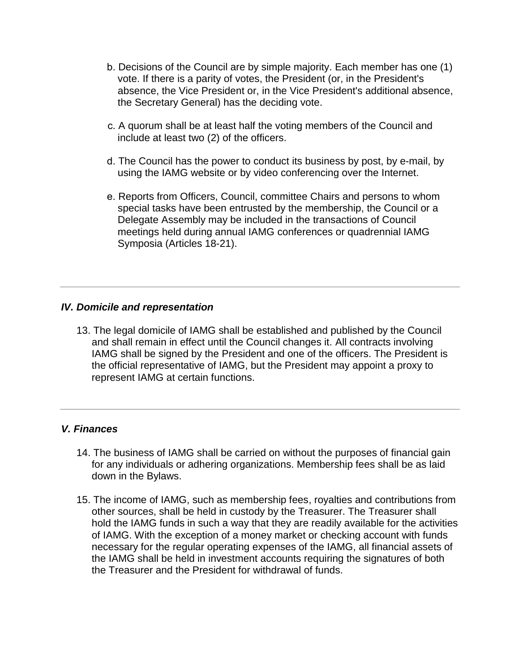- b. Decisions of the Council are by simple majority. Each member has one (1) vote. If there is a parity of votes, the President (or, in the President's absence, the Vice President or, in the Vice President's additional absence, the Secretary General) has the deciding vote.
- c. A quorum shall be at least half the voting members of the Council and include at least two (2) of the officers.
- d. The Council has the power to conduct its business by post, by e-mail, by using the IAMG website or by video conferencing over the Internet.
- e. Reports from Officers, Council, committee Chairs and persons to whom special tasks have been entrusted by the membership, the Council or a Delegate Assembly may be included in the transactions of Council meetings held during annual IAMG conferences or quadrennial IAMG Symposia (Articles 18-21).

### *IV. Domicile and representation*

13. The legal domicile of IAMG shall be established and published by the Council and shall remain in effect until the Council changes it. All contracts involving IAMG shall be signed by the President and one of the officers. The President is the official representative of IAMG, but the President may appoint a proxy to represent IAMG at certain functions.

### *V. Finances*

- 14. The business of IAMG shall be carried on without the purposes of financial gain for any individuals or adhering organizations. Membership fees shall be as laid down in the Bylaws.
- 15. The income of IAMG, such as membership fees, royalties and contributions from other sources, shall be held in custody by the Treasurer. The Treasurer shall hold the IAMG funds in such a way that they are readily available for the activities of IAMG. With the exception of a money market or checking account with funds necessary for the regular operating expenses of the IAMG, all financial assets of the IAMG shall be held in investment accounts requiring the signatures of both the Treasurer and the President for withdrawal of funds.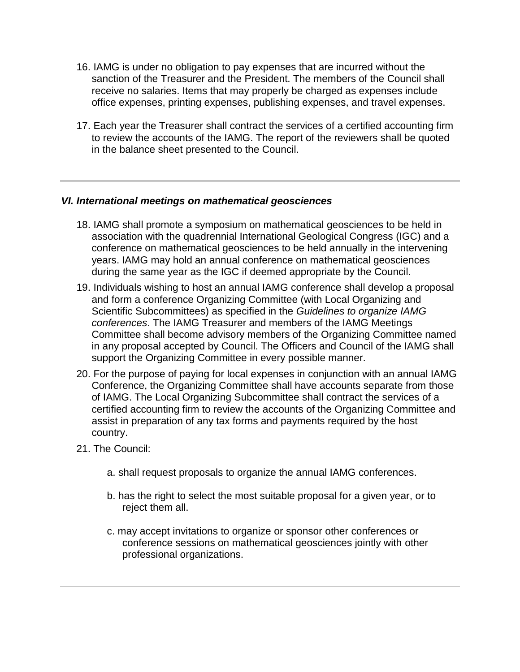- 16. IAMG is under no obligation to pay expenses that are incurred without the sanction of the Treasurer and the President. The members of the Council shall receive no salaries. Items that may properly be charged as expenses include office expenses, printing expenses, publishing expenses, and travel expenses.
- 17. Each year the Treasurer shall contract the services of a certified accounting firm to review the accounts of the IAMG. The report of the reviewers shall be quoted in the balance sheet presented to the Council.

#### *VI. International meetings on mathematical geosciences*

- 18. IAMG shall promote a symposium on mathematical geosciences to be held in association with the quadrennial International Geological Congress (IGC) and a conference on mathematical geosciences to be held annually in the intervening years. IAMG may hold an annual conference on mathematical geosciences during the same year as the IGC if deemed appropriate by the Council.
- 19. Individuals wishing to host an annual IAMG conference shall develop a proposal and form a conference Organizing Committee (with Local Organizing and Scientific Subcommittees) as specified in the *Guidelines to organize IAMG conferences*. The IAMG Treasurer and members of the IAMG Meetings Committee shall become advisory members of the Organizing Committee named in any proposal accepted by Council. The Officers and Council of the IAMG shall support the Organizing Committee in every possible manner.
- 20. For the purpose of paying for local expenses in conjunction with an annual IAMG Conference, the Organizing Committee shall have accounts separate from those of IAMG. The Local Organizing Subcommittee shall contract the services of a certified accounting firm to review the accounts of the Organizing Committee and assist in preparation of any tax forms and payments required by the host country.
- 21. The Council:
	- a. shall request proposals to organize the annual IAMG conferences.
	- b. has the right to select the most suitable proposal for a given year, or to reject them all.
	- c. may accept invitations to organize or sponsor other conferences or conference sessions on mathematical geosciences jointly with other professional organizations.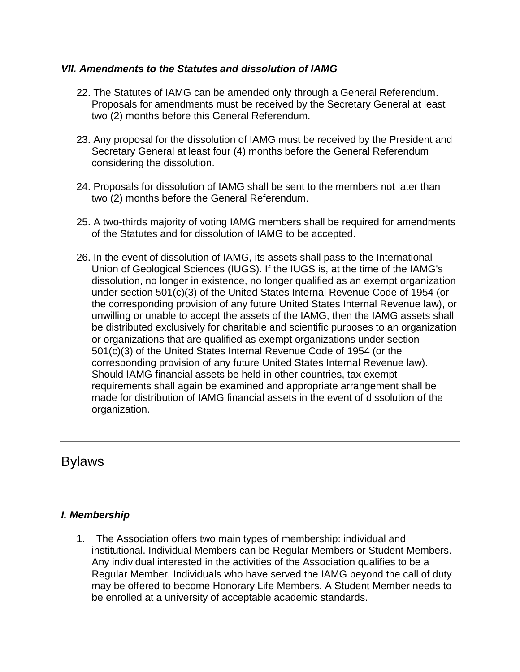### *VII. Amendments to the Statutes and dissolution of IAMG*

- 22. The Statutes of IAMG can be amended only through a General Referendum. Proposals for amendments must be received by the Secretary General at least two (2) months before this General Referendum.
- 23. Any proposal for the dissolution of IAMG must be received by the President and Secretary General at least four (4) months before the General Referendum considering the dissolution.
- 24. Proposals for dissolution of IAMG shall be sent to the members not later than two (2) months before the General Referendum.
- 25. A two-thirds majority of voting IAMG members shall be required for amendments of the Statutes and for dissolution of IAMG to be accepted.
- 26. In the event of dissolution of IAMG, its assets shall pass to the International Union of Geological Sciences (IUGS). If the IUGS is, at the time of the IAMG's dissolution, no longer in existence, no longer qualified as an exempt organization under section 501(c)(3) of the United States Internal Revenue Code of 1954 (or the corresponding provision of any future United States Internal Revenue law), or unwilling or unable to accept the assets of the IAMG, then the IAMG assets shall be distributed exclusively for charitable and scientific purposes to an organization or organizations that are qualified as exempt organizations under section 501(c)(3) of the United States Internal Revenue Code of 1954 (or the corresponding provision of any future United States Internal Revenue law). Should IAMG financial assets be held in other countries, tax exempt requirements shall again be examined and appropriate arrangement shall be made for distribution of IAMG financial assets in the event of dissolution of the organization.

## Bylaws

### *I. Membership*

1. The Association offers two main types of membership: individual and institutional. Individual Members can be Regular Members or Student Members. Any individual interested in the activities of the Association qualifies to be a Regular Member. Individuals who have served the IAMG beyond the call of duty may be offered to become Honorary Life Members. A Student Member needs to be enrolled at a university of acceptable academic standards.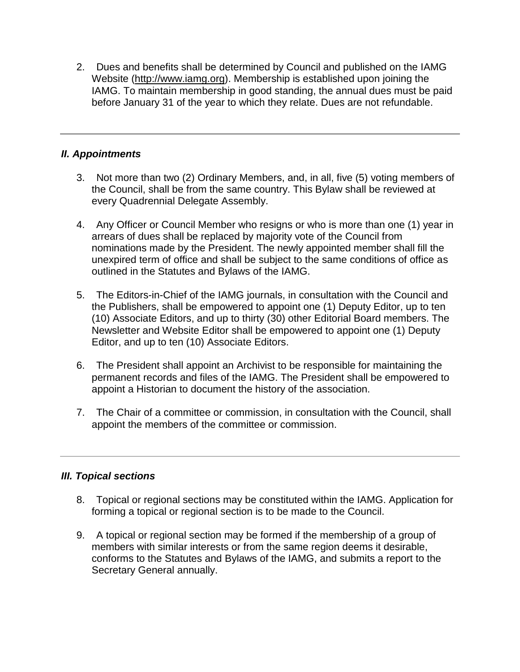2. Dues and benefits shall be determined by Council and published on the IAMG Website [\(http://www.iamg.org\)](http://www.iamg.org/). Membership is established upon joining the IAMG. To maintain membership in good standing, the annual dues must be paid before January 31 of the year to which they relate. Dues are not refundable.

## *II. Appointments*

- 3. Not more than two (2) Ordinary Members, and, in all, five (5) voting members of the Council, shall be from the same country. This Bylaw shall be reviewed at every Quadrennial Delegate Assembly.
- 4. Any Officer or Council Member who resigns or who is more than one (1) year in arrears of dues shall be replaced by majority vote of the Council from nominations made by the President. The newly appointed member shall fill the unexpired term of office and shall be subject to the same conditions of office as outlined in the Statutes and Bylaws of the IAMG.
- 5. The Editors-in-Chief of the IAMG journals, in consultation with the Council and the Publishers, shall be empowered to appoint one (1) Deputy Editor, up to ten (10) Associate Editors, and up to thirty (30) other Editorial Board members. The Newsletter and Website Editor shall be empowered to appoint one (1) Deputy Editor, and up to ten (10) Associate Editors.
- 6. The President shall appoint an Archivist to be responsible for maintaining the permanent records and files of the IAMG. The President shall be empowered to appoint a Historian to document the history of the association.
- 7. The Chair of a committee or commission, in consultation with the Council, shall appoint the members of the committee or commission.

### *III. Topical sections*

- 8. Topical or regional sections may be constituted within the IAMG. Application for forming a topical or regional section is to be made to the Council.
- 9. A topical or regional section may be formed if the membership of a group of members with similar interests or from the same region deems it desirable, conforms to the Statutes and Bylaws of the IAMG, and submits a report to the Secretary General annually.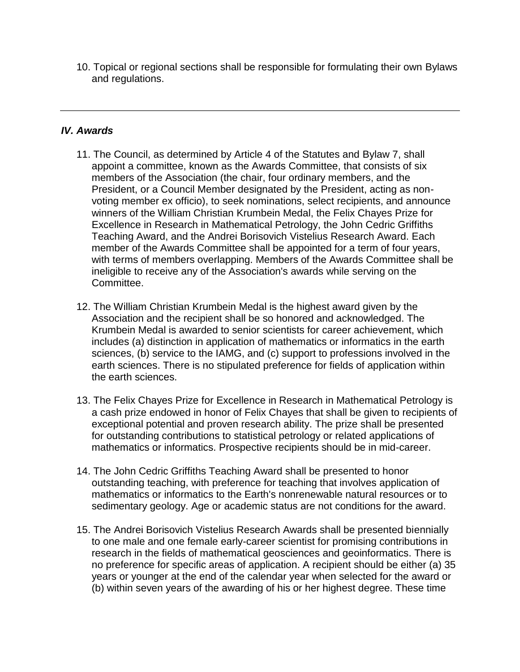10. Topical or regional sections shall be responsible for formulating their own Bylaws and regulations.

### *IV. Awards*

- 11. The Council, as determined by Article 4 of the Statutes and Bylaw 7, shall appoint a committee, known as the Awards Committee, that consists of six members of the Association (the chair, four ordinary members, and the President, or a Council Member designated by the President, acting as nonvoting member ex officio), to seek nominations, select recipients, and announce winners of the William Christian Krumbein Medal, the Felix Chayes Prize for Excellence in Research in Mathematical Petrology, the John Cedric Griffiths Teaching Award, and the Andrei Borisovich Vistelius Research Award. Each member of the Awards Committee shall be appointed for a term of four years, with terms of members overlapping. Members of the Awards Committee shall be ineligible to receive any of the Association's awards while serving on the Committee.
- 12. The William Christian Krumbein Medal is the highest award given by the Association and the recipient shall be so honored and acknowledged. The Krumbein Medal is awarded to senior scientists for career achievement, which includes (a) distinction in application of mathematics or informatics in the earth sciences, (b) service to the IAMG, and (c) support to professions involved in the earth sciences. There is no stipulated preference for fields of application within the earth sciences.
- 13. The Felix Chayes Prize for Excellence in Research in Mathematical Petrology is a cash prize endowed in honor of Felix Chayes that shall be given to recipients of exceptional potential and proven research ability. The prize shall be presented for outstanding contributions to statistical petrology or related applications of mathematics or informatics. Prospective recipients should be in mid-career.
- 14. The John Cedric Griffiths Teaching Award shall be presented to honor outstanding teaching, with preference for teaching that involves application of mathematics or informatics to the Earth's nonrenewable natural resources or to sedimentary geology. Age or academic status are not conditions for the award.
- 15. The Andrei Borisovich Vistelius Research Awards shall be presented biennially to one male and one female early-career scientist for promising contributions in research in the fields of mathematical geosciences and geoinformatics. There is no preference for specific areas of application. A recipient should be either (a) 35 years or younger at the end of the calendar year when selected for the award or (b) within seven years of the awarding of his or her highest degree. These time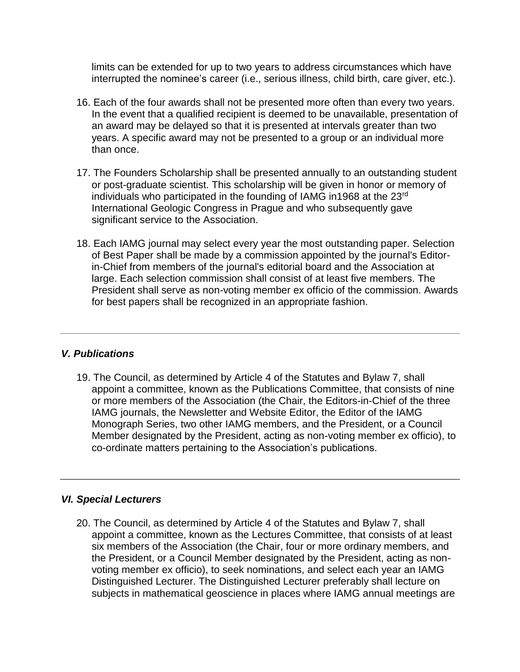limits can be extended for up to two years to address circumstances which have interrupted the nominee's career (i.e., serious illness, child birth, care giver, etc.).

- 16. Each of the four awards shall not be presented more often than every two years. In the event that a qualified recipient is deemed to be unavailable, presentation of an award may be delayed so that it is presented at intervals greater than two years. A specific award may not be presented to a group or an individual more than once.
- 17. The Founders Scholarship shall be presented annually to an outstanding student or post-graduate scientist. This scholarship will be given in honor or memory of individuals who participated in the founding of IAMG in1968 at the 23rd International Geologic Congress in Prague and who subsequently gave significant service to the Association.
- 18. Each IAMG journal may select every year the most outstanding paper. Selection of Best Paper shall be made by a commission appointed by the journal's Editorin-Chief from members of the journal's editorial board and the Association at large. Each selection commission shall consist of at least five members. The President shall serve as non-voting member ex officio of the commission. Awards for best papers shall be recognized in an appropriate fashion.

#### *V. Publications*

19. The Council, as determined by Article 4 of the Statutes and Bylaw 7, shall appoint a committee, known as the Publications Committee, that consists of nine or more members of the Association (the Chair, the Editors-in-Chief of the three IAMG journals, the Newsletter and Website Editor, the Editor of the IAMG Monograph Series, two other IAMG members, and the President, or a Council Member designated by the President, acting as non-voting member ex officio), to co-ordinate matters pertaining to the Association's publications.

### *VI. Special Lecturers*

20. The Council, as determined by Article 4 of the Statutes and Bylaw 7, shall appoint a committee, known as the Lectures Committee, that consists of at least six members of the Association (the Chair, four or more ordinary members, and the President, or a Council Member designated by the President, acting as nonvoting member ex officio), to seek nominations, and select each year an IAMG Distinguished Lecturer. The Distinguished Lecturer preferably shall lecture on subjects in mathematical geoscience in places where IAMG annual meetings are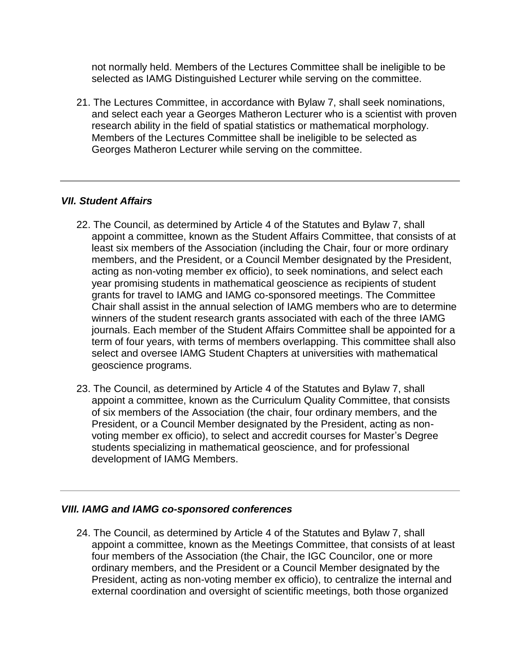not normally held. Members of the Lectures Committee shall be ineligible to be selected as IAMG Distinguished Lecturer while serving on the committee.

21. The Lectures Committee, in accordance with Bylaw 7, shall seek nominations, and select each year a Georges Matheron Lecturer who is a scientist with proven research ability in the field of spatial statistics or mathematical morphology. Members of the Lectures Committee shall be ineligible to be selected as Georges Matheron Lecturer while serving on the committee.

### *VII. Student Affairs*

- 22. The Council, as determined by Article 4 of the Statutes and Bylaw 7, shall appoint a committee, known as the Student Affairs Committee, that consists of at least six members of the Association (including the Chair, four or more ordinary members, and the President, or a Council Member designated by the President, acting as non-voting member ex officio), to seek nominations, and select each year promising students in mathematical geoscience as recipients of student grants for travel to IAMG and IAMG co-sponsored meetings. The Committee Chair shall assist in the annual selection of IAMG members who are to determine winners of the student research grants associated with each of the three IAMG journals. Each member of the Student Affairs Committee shall be appointed for a term of four years, with terms of members overlapping. This committee shall also select and oversee IAMG Student Chapters at universities with mathematical geoscience programs.
- 23. The Council, as determined by Article 4 of the Statutes and Bylaw 7, shall appoint a committee, known as the Curriculum Quality Committee, that consists of six members of the Association (the chair, four ordinary members, and the President, or a Council Member designated by the President, acting as nonvoting member ex officio), to select and accredit courses for Master's Degree students specializing in mathematical geoscience, and for professional development of IAMG Members.

### *VIII. IAMG and IAMG co-sponsored conferences*

24. The Council, as determined by Article 4 of the Statutes and Bylaw 7, shall appoint a committee, known as the Meetings Committee, that consists of at least four members of the Association (the Chair, the IGC Councilor, one or more ordinary members, and the President or a Council Member designated by the President, acting as non-voting member ex officio), to centralize the internal and external coordination and oversight of scientific meetings, both those organized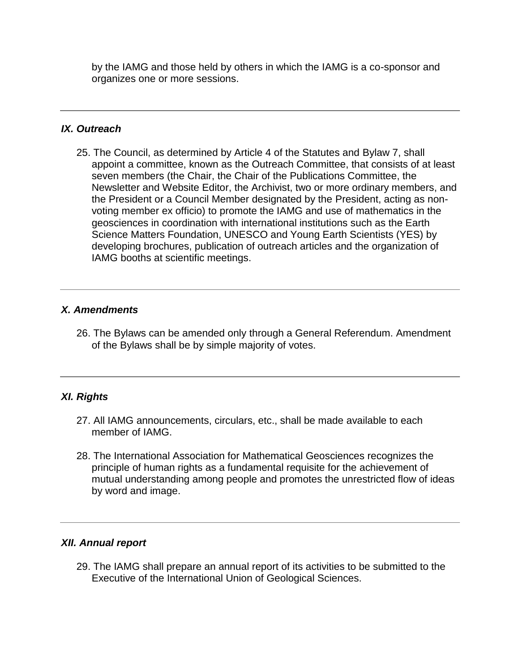by the IAMG and those held by others in which the IAMG is a co-sponsor and organizes one or more sessions.

### *IX. Outreach*

25. The Council, as determined by Article 4 of the Statutes and Bylaw 7, shall appoint a committee, known as the Outreach Committee, that consists of at least seven members (the Chair, the Chair of the Publications Committee, the Newsletter and Website Editor, the Archivist, two or more ordinary members, and the President or a Council Member designated by the President, acting as nonvoting member ex officio) to promote the IAMG and use of mathematics in the geosciences in coordination with international institutions such as the Earth Science Matters Foundation, UNESCO and Young Earth Scientists (YES) by developing brochures, publication of outreach articles and the organization of IAMG booths at scientific meetings.

## *X. Amendments*

26. The Bylaws can be amended only through a General Referendum. Amendment of the Bylaws shall be by simple majority of votes.

## *XI. Rights*

- 27. All IAMG announcements, circulars, etc., shall be made available to each member of IAMG.
- 28. The International Association for Mathematical Geosciences recognizes the principle of human rights as a fundamental requisite for the achievement of mutual understanding among people and promotes the unrestricted flow of ideas by word and image.

### *XII. Annual report*

29. The IAMG shall prepare an annual report of its activities to be submitted to the Executive of the International Union of Geological Sciences.